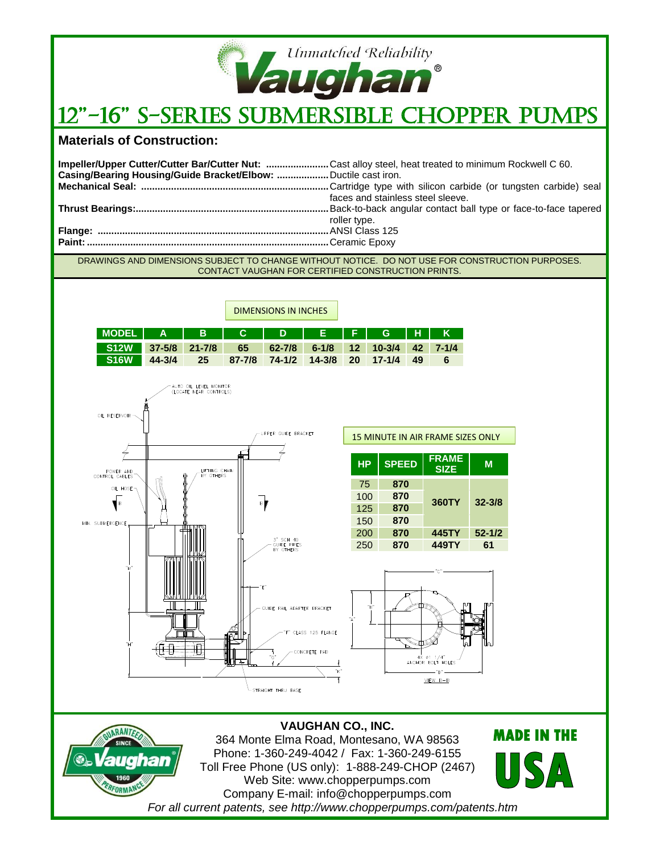

## 12"-16" S-Series Submersible Chopper Pumps

## **Materials of Construction:**

FORMANC

| Impeller/Upper Cutter/Cutter Bar/Cutter Nut: Cast alloy steel, heat treated to minimum Rockwell C 60. |                                   |
|-------------------------------------------------------------------------------------------------------|-----------------------------------|
| Casing/Bearing Housing/Guide Bracket/Elbow:  Ductile cast iron.                                       |                                   |
|                                                                                                       |                                   |
|                                                                                                       | faces and stainless steel sleeve. |
|                                                                                                       |                                   |
|                                                                                                       | roller type.                      |
|                                                                                                       |                                   |
|                                                                                                       |                                   |
|                                                                                                       |                                   |

DRAWINGS AND DIMENSIONS SUBJECT TO CHANGE WITHOUT NOTICE. DO NOT USE FOR CONSTRUCTION PURPOSES. CONTACT VAUGHAN FOR CERTIFIED CONSTRUCTION PRINTS.